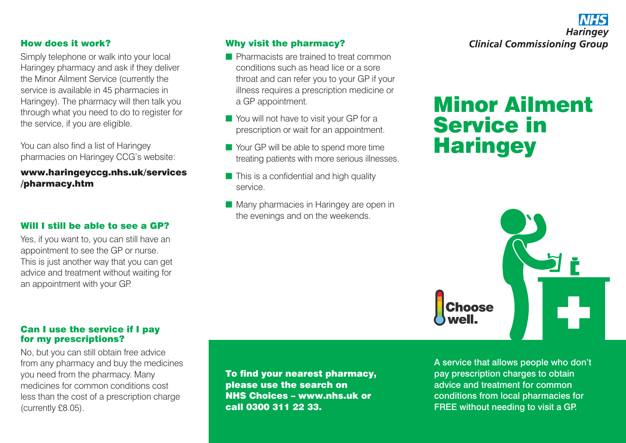

#### How does it work?

Simply telephone or walk into your local Haringey pharmacy and ask if they deliver the Minor Ailment Service (currently the service is available in 45 pharmacies in Haringey). The pharmacy will then talk you through what you need to do to register for the service, if you are eligible.

You can also find a list of Haringey pharmacies on Haringey CCG's website:

www.haringeyccg.nhs.uk/services /pharmacy.htm

### Will I still be able to see a GP?

Yes, if you want to, you can still have an appointment to see the GP or nurse. This is just another way that you can get advice and treatment without waiting for an appointment with your GP.

## Why visit the pharmacy?

- **n** Pharmacists are trained to treat common conditions such as head lice or a sore throat and can refer you to your GP if your illness requires a prescription medicine or a GP appointment.
- $\blacksquare$  You will not have to visit your GP for a prescription or wait for an appointment.
- $\blacksquare$  Your GP will be able to spend more time treating patients with more serious illnesses.
- $\blacksquare$  This is a confidential and high quality service.
- $\blacksquare$  Many pharmacies in Haringey are open in the evenings and on the weekends.

# Minor Ailment Service in **Haringey**



#### Can I use the service if I pay for my prescriptions?

No, but you can still obtain free advice from any pharmacy and buy the medicines you need from the pharmacy. Many medicines for common conditions cost less than the cost of a prescription charge (currently £8.05).

To find your nearest pharmacy, please use the search on NHS Choices – www.nhs.uk or call 0300 311 22 33.

A service that allows people who don't pay prescription charges to obtain advice and treatment for common conditions from local pharmacies for FREE without needing to visit a GP.